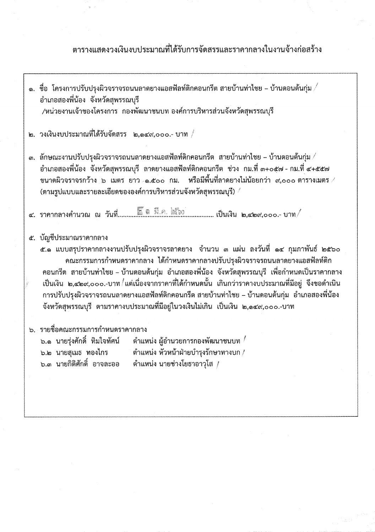# ตารางแสดงวงเงินงบประมาณที่ได้รับการจัดสรรและราคากลางในงานจ้างก่อสร้าง

- ๑. ชื่อ โครงการปรับปรุงผิวจราจรถนนลาดยางแอสฟัลท์ติกคอนกรีต สายบ้านท่าไชย บ้านดอนต้นกุ่ม  $\angle$ อำเภอสองพี่น้อง จังหวัดสุพรรณบุรี /หน่วยงานเจ้าของโครงการ กองพัฒนาชนบท องค์การบริหารส่วนจังหวัดสุพรรณบุรี
- ๒. วงเงินงบประมาณที่ได้รับจัดสรร ๒.๑๔๙,๐๐๐.- บาท /
- ี่ ๓. ลักษณะงานปรับปรุงผิวจราจรถนนลาดยางแอสฟัลท์ติกคอนกรีต สายบ้านท่าไชย บ้านดอนต้นกุ่ม $\angle$ ้อำเภอสองพี่น้อง จังหวัดสุพรรณบุรี ลาดยางแอสฟัลท์ติกคอนกรีต ช่วง กม.ที่ ๓+๐๕๗ - กม.ที่ ๔+๕๕๗ ขนาดผิวจราจรกว้าง ๖ เมตร ยาว ๑.๕๐๐ กม. หรือมีพื้นที่ลาดยางไม่น้อยกว่า ๙,๐๐๐ ตารางเมตร ⁄ (ตามรูปแบบและรายละเอียดขององค์การบริหารส่วนจังหวัดสุพรรณบุรี) /

## ๕. บัญชีประมาณราคากลาง

ี่ ๕.๑ แบบสรุปราคากลางงานปรับปรุงผิวจราจรลาดยาง จำนวน ๓ แผ่น ลงวันที่ ๑๔ กุมภาพันธ์ ๒๕๖๐ ึคณะกรรมการกำหนดราคากลาง ได้กำหนดราคากลางปรับปรุงผิวจราจรถนนลาดยางแอสฟัลท์ติก ้คอนกรีต สายบ้านท่าไชย - บ้านดอนต้นกุ่ม อำเภอสองพี่น้อง จังหวัดสุพรรณบุรี เพื่อกำหนดเป็นราคากลาง เป็นเงิน ๒,๔๒๙,๐๐๐.-บาท /แต่เนื่องจากราคาที่ได้กำหนดนั้น เกินกว่าราคางบประมาณที่มีอยู่ จึงขอดำเนิน การปรับปรุงผิวจราจรถนนลาดยางแอสฟัลท์ติกคอนกรีต สายบ้านท่าไชย - บ้านดอนต้นกุ่ม อำเภอสองพี่น้อง จังหวัดสุพรรณบุรี ตามราคางบประมาณที่มีอยู่ในวงเงินไม่เกิน เป็นเงิน ๒,๑๔๙,๐๐๐.-บาท

ึ่ง. รายชื่อคณะกรรมการกำหนดราคากลาง

ตำแหน่ง ผู้อำนวยการกองพัฒนาชนบท  $\hspace{0.5mm}^{\prime}$ ๖.๑ นายรุ่งศักดิ์ ทิมใจทัศน์ ๖.๒ นายสุเมธ ทองไกร ตำแหน่ง หัวหน้าฝ่ายบำรุงรักษาทางบก / ๖.๓ นายกิติศักดิ์ อาจละออ ดำแหน่ง นายช่างโยธาอาวุโส /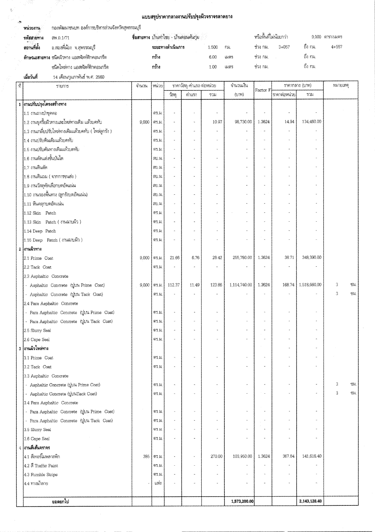#### แบบสรุปราคากลางงานปรับปรุงผิวจราจรลาดยาง

| หน่วยงาน     | กองพัฒนาชนบท องค์การบริหารส่วนจังหวัดสุพรรณบุรี |       |                                        |        |                        |           |                   |           |  |  |
|--------------|-------------------------------------------------|-------|----------------------------------------|--------|------------------------|-----------|-------------------|-----------|--|--|
| รหัสสายทาง   | 6W.0.1/71                                       |       | ชื่อสายทาง บ้านท่าไชย - บ้านตอนต้นกุ่ม |        | หรือพื้นที่ไม่น้อยกว่า |           | $9,000$ ตารางเมตร |           |  |  |
| ้สถานที่ตั้ง | อ.สองพี่น้อง จ.สุพรรณบุรี                       |       | ระยะทางดำเนินการ<br>.500               | f134   | ช่วง กม.               | $3 + 057$ | . ถึง กม.         | $4 + 557$ |  |  |
|              | ลักษณะสายทาง ชนิดผิวทาง แอสพัลท์ติกคอนกรีต      | 11274 | 6.00                                   | เมตร   | ช่วง กม.               |           | . ถึง กม.         |           |  |  |
|              | ชนิดไหล่ทาง แอสพัลท์ติกคอนกรีต                  | กว้าง | .00                                    | 121975 | ช่วง กม.               |           | ถึง กม.           |           |  |  |

เมื่อวันที่ 14 เดือนกุมภาพันธ์ พ.ศ. 2560

 $\frac{1}{\lambda_0}$ 

 $\mathcal{A}$ 

| $\frac{1}{2}$ | รายการ                                                                                    | จำนวน | หน่วย         |                          | จำนวนเงิน<br>ราคาวัสดุ-ค่าแรง-ต่อหน่วย<br>ราคากลาง (บาท) |        |              | หมายเหตุ              |                       |                     |   |      |
|---------------|-------------------------------------------------------------------------------------------|-------|---------------|--------------------------|----------------------------------------------------------|--------|--------------|-----------------------|-----------------------|---------------------|---|------|
|               |                                                                                           |       |               | $\frac{1}{2}$ สด         | ค่าแรง                                                   | รวม    | (117)        | Factor F              | ไราคาต่อหน่วย         | 2.31                |   |      |
|               | 1 งานปรับปรุงโครงสร้างทาง                                                                 |       |               |                          |                                                          |        |              |                       |                       |                     |   |      |
|               | 1.1 งานถางป่าขุดตอ                                                                        |       | 913.54.       |                          |                                                          | ×      | ÷,           | i.                    | à.                    |                     |   |      |
|               | 1.2 งานขุดรื้อผิวทางและไหล่ทางเดิม แล้วบดทับ                                              | 9,000 | ตร.ม.         |                          | $\ddot{\phantom{a}}$                                     | 10.97  | 98,730.00    | 1.3624                | 14.94                 | 134,460.00          |   |      |
|               | 1.3 งานเกลี่ยปรับไหล่ทางเดิมแล้วบดทับ ( ไหล่ลูกรัง )                                      |       | 015.21        |                          | ù.                                                       |        |              |                       |                       |                     |   |      |
|               | <br> 1.4 งานปรับดินเดิมแล้วบดทับ                                                          |       | 917.31        |                          | $\omega$                                                 |        |              | $\tilde{\phantom{a}}$ |                       |                     |   |      |
|               | 1.5 งานปรับดันทางเดิมแล้วบดทับ                                                            |       | MT.H.         |                          |                                                          |        |              |                       |                       |                     |   |      |
|               | ้1.6 งานตัดแต่งขึ้นบันได                                                                  |       | 311.34        | ÷,                       | ä,                                                       | ×.     | ä,           |                       |                       |                     |   |      |
|               | 1.7 งานดินตัด                                                                             |       | ลบม           | $\tilde{\phantom{a}}$    |                                                          |        |              |                       |                       |                     |   |      |
|               | 1.8 งานดินถม ( จากการขนส่ง )                                                              |       | ลบ.ม.         | $\omega$                 | $\overline{a}$                                           | ÷.     |              |                       |                       |                     |   |      |
|               | 1.9 งานวัสดุคัดเลือกบดอัดแน่น                                                             |       | ลบ.ม          |                          |                                                          |        |              |                       |                       |                     |   |      |
|               | 1.10 งานรองพื้นทาง (ลูกรังบดอัดแน่น)                                                      |       | ลบ.ม.         | $\overline{\phantom{a}}$ | u,                                                       | ä,     |              | $\omega$              |                       |                     |   |      |
|               | 1.11 หินคลุกบดอัตแน่น                                                                     |       | ลบ.ม.         | ÷,                       |                                                          |        |              |                       |                       |                     |   |      |
|               | 1.12 Skin Patch                                                                           |       | 915.31        | $\ddot{\phantom{1}}$     | ×.                                                       |        | à,           |                       |                       |                     |   |      |
|               | 1.13 Skin Patch (งานฉาบผึ้ว)                                                              |       | 915.31.       | $\mathbf{r}$             |                                                          |        |              |                       |                       |                     |   |      |
|               | 1.14 Deep Patch                                                                           |       | 915.31        | ×                        |                                                          | u.     |              |                       |                       |                     |   |      |
|               | 1.15 Deep Patch (งานฉาบผิว)                                                               |       | 617.31        |                          |                                                          |        |              |                       |                       |                     |   |      |
|               | 2 งานผิวทาง                                                                               |       |               |                          |                                                          |        |              |                       |                       |                     |   |      |
|               | 2.1 Prime Coat                                                                            | 9,000 | 915.31        | 21.66                    | 6.76                                                     | 28.42  | 255,780.00   | 1.3624                | 38.71                 | 348,390.00          |   |      |
|               | 2.2 Tack Coat                                                                             |       | 915.31        |                          |                                                          |        |              |                       |                       |                     |   |      |
|               | 2.3 Asphaltic Concrete                                                                    |       |               |                          |                                                          |        |              |                       |                       |                     |   |      |
|               | - Asphaltic Concrete (ULu4 Prime Coat)                                                    | 9,000 | 915.31        | 112.37                   | 11.49                                                    | 123.86 | 1,114,740.00 | 1.3624                |                       | 168.74 1,518,660.00 | 3 | YN.  |
|               | - Asphaltic Concrete (thu Tack Coat)                                                      |       | GT 11         |                          |                                                          |        |              |                       |                       |                     | 3 | ซม.  |
|               | 2.4 Para Asphaltic Concrete                                                               |       |               |                          |                                                          |        |              |                       |                       |                     |   |      |
|               | - Para Asphaltic Concrete (thu Prime Coat)                                                |       | <b>915.24</b> | $\overline{\phantom{a}}$ | $\omega$                                                 | ×.     |              |                       |                       |                     |   |      |
|               | - Para Asphaltic Concrete ( $\uparrow\downarrow\downarrow\downarrow\downarrow$ Tack Coat) |       | <b>915.24</b> | i,                       | ÷                                                        |        |              | $\mathbf{a}$          | $\ddot{\phantom{0}}$  |                     |   |      |
|               | 2.5 Slurry Seal                                                                           |       | 913.31        | $\bar{a}$                |                                                          |        |              |                       |                       |                     |   |      |
|               | 2.6 Cape Seal                                                                             |       | <b>917.31</b> |                          |                                                          |        |              |                       |                       |                     |   |      |
|               | 3 งานผิวไหล่ทาง                                                                           |       |               |                          |                                                          |        |              |                       |                       |                     |   |      |
|               | 3.1 Prime Coat                                                                            |       | 915.JJ.       |                          |                                                          |        |              |                       |                       |                     |   |      |
|               |                                                                                           |       |               |                          |                                                          |        |              |                       |                       |                     |   |      |
|               | 3.2 Tack Coat<br>3.3 Asphaltic Concrete                                                   |       | 915.XI        |                          |                                                          |        |              |                       |                       |                     |   |      |
|               | - Asphaltic Concrete (thu Prime Coat)                                                     |       | 915.21        | $\ddot{\phantom{a}}$     |                                                          |        |              |                       |                       |                     | 3 | YN.  |
|               | - Asphaltic Concrete (ULINTack Coat)                                                      |       | 915.21        |                          |                                                          |        |              |                       |                       | à,                  | 3 | Y31. |
|               | 3.4 Para Asphaltic Concrete                                                               |       |               |                          |                                                          |        |              |                       |                       |                     |   |      |
|               | - Para Asphaltic Concrete (thut Prime Coat)                                               |       | 917.31        |                          |                                                          |        |              |                       |                       | ä,                  |   |      |
|               | - Para Asphaltic Concrete (UUM Tack Coat)                                                 |       | 915.24        |                          |                                                          |        |              |                       |                       |                     |   |      |
|               | 3.5 Slurry Seal                                                                           |       | <b>997.21</b> |                          |                                                          |        |              |                       |                       |                     |   |      |
|               | 3.6 Cape Seal                                                                             |       | 915.21        |                          |                                                          |        |              |                       |                       |                     |   |      |
|               | 4 งานตีเส้นจราจร                                                                          |       |               |                          |                                                          |        |              |                       |                       |                     |   |      |
|               | 4.1 สีเทอร์โมพลาสติก                                                                      | 385   | 017.21        | $\ddot{\phantom{a}}$     |                                                          | 270.00 | 103,950.00   | 1.3624                | 367.84                | 141,618.40          |   |      |
|               | 4.2 ลี Traffic Paint                                                                      |       | 915.H.        |                          |                                                          | $\sim$ |              |                       | $\tilde{\phantom{a}}$ |                     |   |      |
|               |                                                                                           |       | 91 U          |                          |                                                          |        |              |                       |                       |                     |   |      |
|               | 4.3 Rumble Strips<br>4.4 ทางม้าลาย                                                        |       | แห่ง          |                          |                                                          |        |              |                       |                       |                     |   |      |
|               |                                                                                           |       |               |                          |                                                          |        |              |                       |                       |                     |   |      |
|               | ยอดยกไป                                                                                   |       |               |                          |                                                          |        | 1,573,200.00 |                       |                       | 2,143,128.40        |   |      |
|               |                                                                                           |       |               |                          |                                                          |        |              |                       |                       |                     |   |      |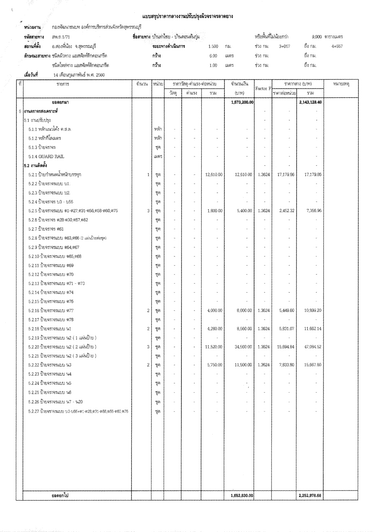## แบบสรุปราคากลางงานปรับปรุงผิวจราจรลาดยาง

 $\frac{1}{2\pi}$ 

 $\frac{\partial}{\partial t}$ 

| หน่วยงาน    | กองพัฒนาชนบท องค์การบริหารส่วนจังหวัดสุพรรณบุรี |                                        |                        |        |                 |       |          |       |  |  |  |
|-------------|-------------------------------------------------|----------------------------------------|------------------------|--------|-----------------|-------|----------|-------|--|--|--|
| รหัสสายทาง  | สพ.อ.1/71                                       | ชื่อสายทาง บ้านท่าไซย - บ้านดอนต้นกุ่ม | หรือพื้นที่ไม่น้อยกว่า |        | 9.000 ตารางเมตร |       |          |       |  |  |  |
| สถานที่ตั้ง | อ.สองพี่น้อง จ.สุพรรณบุรี                       | ระยะทางดำเนินการ                       | 1.500                  | 731    | ซ่าง กม.        | 3+057 | ้ถึง กม. | 4+557 |  |  |  |
|             | ลักษณะสายทาง ชนิดผิวทาง แอสฟัลท์ติกคอนกรีต      | กว้าง                                  | 6.00                   | 131975 | ช่วง กม.        |       | ้ถึง กม. |       |  |  |  |
|             | ชนิดไหล่ทาง แอสพัลท์ติกคอนกรีด                  | กว้าง                                  | 1.00                   | เมตร   | ช่วง กม.        |       | ถึง กม.  |       |  |  |  |
| เมื่อวันที่ | 14 เดือนกุมภาพันธ์ พ.ศ. 2560                    |                                        |                        |        |                 |       |          |       |  |  |  |

| $\tilde{\eta}$ | <b>TILITTS</b>                                        | จำนวน          | หน่วย                         |                          | ราคาวัสดุ-ค่าแรง-ต่อหน่วย |           | จำนวนเงิน    |          | ราคากลาง (บาท) |                | หมายเหตุ |
|----------------|-------------------------------------------------------|----------------|-------------------------------|--------------------------|---------------------------|-----------|--------------|----------|----------------|----------------|----------|
|                |                                                       |                |                               | $\frac{1}{2}$ สด         | ค่าแรง                    | 7731      | (117)        | Factor F | ราคาต่อหน่วย   | รวม            |          |
|                | ยอดยกมา                                               |                |                               |                          |                           |           | 1,573,200.00 |          |                | 2,143,128.40   |          |
|                | 5 งานจราจรสงเคราะห์                                   |                |                               |                          |                           |           |              |          |                |                |          |
|                | 5.1 งานปรับปรุง                                       |                |                               |                          |                           |           |              |          |                |                |          |
|                | 5.1.1 หลักแนวโค้ง ค.ส.ล.                              |                | หลัก                          | i.                       |                           |           |              |          |                |                |          |
|                | $5.1.2$ หลักกิโลเมตร                                  |                | หลัก                          | $\bar{\mathbf{a}}$       |                           |           |              |          |                |                |          |
|                | $5.1.3$ ป้ายจราจร                                     |                | $\P \mathfrak{N}$             | à,                       |                           |           |              |          |                |                |          |
|                | 5.1.4 GUARD RAIL                                      |                | 121475                        |                          |                           |           |              |          |                |                |          |
|                | 5.2 งานติดตั้ง                                        |                |                               |                          |                           |           |              |          |                |                |          |
|                | 5.2.1 ป้ายกำหนดน้ำหนักบรรทุก                          | 1              | $\P$                          | $\omega$                 | k,                        | 12,610.00 | 12,610.00    | 1.3624   | 17,179.86      | 17,179.86      |          |
|                | 5.2.2 ป้ายจราจรแบบ บ1.                                |                | $\widetilde{\mathfrak{Y}}$    | $\bar{a}$                |                           |           |              | $\sim$   |                |                |          |
|                | 5.2.3 ป้ายจราจรแบบ บ2.                                |                | $\mathfrak{P}(\theta)$        | $\overline{\phantom{a}}$ |                           |           |              |          |                |                |          |
|                | 5.2.4 ป้ายจราจร บ3 - บ55                              |                | ୍ୟୁଜ୍                         | $\hat{\mathbf{z}}$       |                           |           |              |          |                | ä,             |          |
|                | 5.2.5 ปี้ายจราจรแบบ ต1-ต27,ต31-ต56,ต58-ต60,ต75        | 3              | $\mathfrak{P}^{\mathfrak{S}}$ | $\bar{a}$                |                           | 1,800.00  | 5,400.00     | 1.3624   | 2,452.32       | 7,356,96       |          |
|                | 5.2.6 ป้ายจราจร ต28-ต30,ต57,ต62                       |                | ÃП                            | $\mathbf{u}$             |                           |           |              |          |                |                |          |
|                | 5.2.7 ป้ายจราจร ต61                                   |                | $\mathfrak{P}(\theta)$        | $\sim$                   |                           |           |              |          |                |                |          |
|                | 5.2.8 ปี้ายจราจรแบบ ต63,ศ66 (2 แผ่นป้ายต่อชุด)        |                | ชูต                           | $\omega$                 |                           |           |              |          |                |                |          |
|                | 5.2.9 ปี้ายจราจรแบบ ต64,ต67                           |                | 臀衡                            | $\omega$                 |                           |           |              |          |                |                |          |
|                | 5.2.10 ป้ายจราจรแบบ ต65,ต68                           |                | 寶例                            |                          |                           |           |              |          |                |                |          |
|                | 5.2.11 ป้ายจราจรแบบ ต69                               |                | পুঞ্জ                         | $\bar{a}_0$              |                           |           |              |          |                |                |          |
|                | 5.2.12 ป้ายจราจรแบบ ต70                               |                | 質別                            | $\omega$                 |                           |           |              |          |                |                |          |
|                | 5.2.13 ป้ายจราจรแบบ ต71 - ต73                         |                | ବୃତ୍ତ                         | $\omega$                 |                           |           |              |          |                |                |          |
|                | 5.2.14 ป้ายจราจรแบบ ต74                               |                | $\mathbb{Y}^{\mathcal{D}}$    | $\sim$                   |                           |           |              |          |                |                |          |
|                | 5.2.15 ป้ายจราจรแบบ ต76                               |                | $\mathfrak{P}$                | $\bar{a}$                | $\ddot{\phantom{a}}$      | ú.        | ú,           |          |                |                |          |
|                | 5.2.16 ปี่นคราจรแบบ ต77                               | $\overline{2}$ | $\P(\!\!\!\!\rho\!)$          | $\omega$                 | ú,                        | 4,000.00  | 8,000.00     | 1.3624   | 5,449.60       | 10,899.20      |          |
|                | 5.2.17 ป้ายจราจรแบบ ต78                               |                | $\P \mathfrak{N}$             | à.                       | ×,                        |           | ä,           |          | ä,             |                |          |
|                | 5.2.18 ปี๊ายจราจรแบบ น1                               | 2              | $\mathfrak{P}$ ត្             | $\omega$                 |                           | 4,280.00  | 8,560.00     | 1.3624   | 5,831.07       | 11,662.14      |          |
|                | 5.2.19 ป้ายจราจรแบบ น2 (1 แผ่นป้าย)                   |                | HH.                           | $\bar{a}$                |                           |           | ú,           |          |                |                |          |
|                | 5.2.20 ป้ายจราจรแบบ น2 ( 2 แผ่นป้าย )                 | 3              | পুরু                          | $\bar{\phantom{a}}$      | $\omega$                  | 11,520.00 | 34,560.00    | 1.3624   | 15.694.84      | 47,084.52      |          |
|                | 5.2.21 ป้ายจราจรแบบ น2 ( 3 แผ่นป้าย )                 |                | YA                            |                          |                           |           |              |          |                |                |          |
|                | 5.2.22 ป้ายจราจรแบบ น3                                | 2              | ซุต                           |                          |                           | 5,750.00  | 11,500.00    | 1.3624   | 7,833.80       | 15,667.60      |          |
|                | 5.2.23 ป้ายจราจรแบบ น4                                |                | ŊH                            |                          |                           |           |              |          |                |                |          |
|                | 5.2.24 ป้ายจราจรแบบ น5                                |                | পুজ                           | $\tilde{\phantom{a}}$    | $\ddot{\phantom{a}}$      |           |              |          |                |                |          |
|                | 5:2.25 ปี่ายจราจรแบบ น6                               |                | ଶ୍ମୁଜ୍                        | $\sim$                   |                           |           |              |          |                | $\alpha$       |          |
|                | 5.2.26 ป้ำยจราจรแบบ พ7 - พ20                          |                | 顎目                            | $\bar{u}$                |                           | $\alpha$  | ù.           |          | ×              | $\overline{a}$ |          |
|                | 5.2.27 ปีนยุราจรแบบ บ3-บ55+ต1-ต28,ต31-ต58,ต56-ต60,ต75 |                | ซุต                           | $\bar{a}$                |                           |           | ÷,           |          |                |                |          |
|                |                                                       |                |                               |                          |                           |           |              |          |                |                |          |
|                |                                                       |                |                               |                          |                           |           |              |          |                |                |          |
|                |                                                       |                |                               |                          |                           |           |              |          |                |                |          |
|                |                                                       |                |                               |                          |                           |           |              |          |                |                |          |
|                |                                                       |                |                               |                          |                           |           |              |          |                |                |          |
|                |                                                       |                |                               |                          |                           |           |              |          |                |                |          |
|                |                                                       |                |                               |                          |                           |           |              |          |                |                |          |
|                |                                                       |                |                               |                          |                           |           |              |          |                |                |          |
|                | ยอดยกไป                                               |                |                               |                          |                           |           | 1,653,830.00 |          |                | 2,252,978.68   |          |